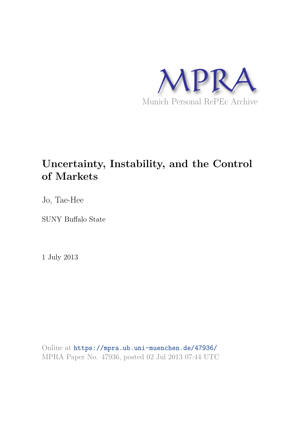

# **Uncertainty, Instability, and the Control of Markets**

Jo, Tae-Hee

SUNY Buffalo State

1 July 2013

Online at https://mpra.ub.uni-muenchen.de/47936/ MPRA Paper No. 47936, posted 02 Jul 2013 07:44 UTC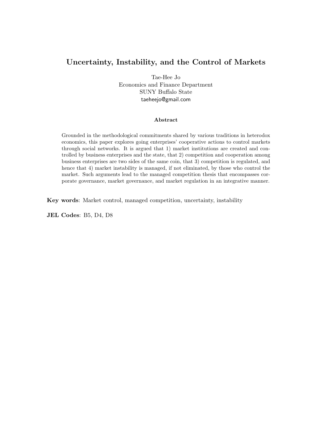# Uncertainty, Instability, and the Control of Markets

Tae-Hee Jo Economics and Finance Department SUNY Buffalo State taeheejo@gmail.com

#### Abstract

Grounded in the methodological commitments shared by various traditions in heterodox economics, this paper explores going enterprises' cooperative actions to control markets through social networks. It is argued that 1) market institutions are created and controlled by business enterprises and the state, that 2) competition and cooperation among business enterprises are two sides of the same coin, that 3) competition is regulated, and hence that 4) market instability is managed, if not eliminated, by those who control the market. Such arguments lead to the managed competition thesis that encompasses corporate governance, market governance, and market regulation in an integrative manner.

Key words: Market control, managed competition, uncertainty, instability

JEL Codes: B5, D4, D8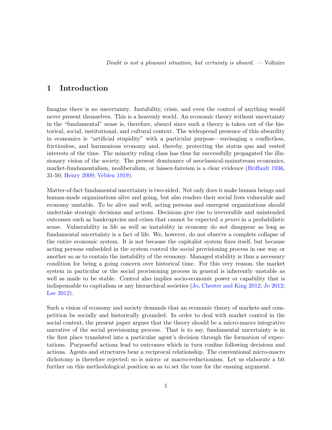# 1 Introduction

Imagine there is no uncertainty. Instability, crisis, and even the control of anything would never present themselves. This is a heavenly world. An economic theory without uncertainty in the "fundamental" sense is, therefore, absurd since such a theory is taken out of the historical, social, institutional, and cultural context. The widespread presence of this absurdity in economics is "artificial stupidity" with a particular purpose—envisaging a conflictless, frictionless, and harmonious economy and, thereby, protecting the status quo and vested interests of the time. The minority ruling class has thus far successfully propagated the illusionary vision of the society. The present dominance of neoclassical-mainstream economics, market-fundamentalism, neoliberalism, or laissez-faireism is a clear evidence (Briffault 1936, 31-50; Henry 2009; Veblen 1919).

Matter-of-fact fundamental uncertainty is two-sided. Not only does it make human beings and human-made organizations alive and going, but also renders their social lives vulnerable and economy unstable. To be alive and well, acting persons and emergent organizations should undertake strategic decisions and actions. Decisions give rise to irreversible and unintended outcomes such as bankruptcies and crises that cannot be expected *a priori* in a probabilistic sense. Vulnerability in life as well as instability in economy do not disappear as long as fundamental uncertainty is a fact of life. We, however, do not observe a complete collapse of the entire economic system. It is not because the capitalist system fixes itself, but because acting persons embedded in the system control the social provisioning process in one way or another so as to contain the instability of the economy. Managed stability is thus a necessary condition for being a going concern over historical time. For this very reason, the market system in particular or the social provisioning process in general is inherently unstable as well as made to be stable. Control also implies socio-economic power or capability that is indispensable to capitalism or any hierarchical societies (Jo, Chester and King 2012; Jo 2012; Lee 2012).

Such a vision of economy and society demands that an economic theory of markets and competition be socially and historically grounded. In order to deal with market control in the social context, the present paper argues that the theory should be a micro-macro integrative narrative of the social provisioning process. That is to say, fundamental uncertainty is in the first place translated into a particular agent's decision through the formation of expectations. Purposeful actions lead to outcomes which in turn confine following decisions and actions. Agents and structures bear a reciprocal relationship. The conventional micro-macro dichotomy is therefore rejected; so is micro- or macro-reductionism. Let us elaborate a bit further on this methodological position so as to set the tone for the ensuing argument.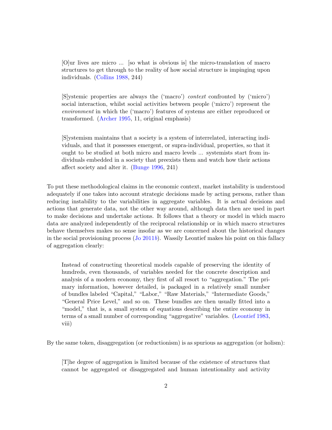[O]ur lives are micro ... [so what is obvious is] the micro-translation of macro structures to get through to the reality of how social structure is impinging upon individuals. (Collins 1988, 244)

[S]ystemic properties are always the ('macro') *context* confronted by ('micro') social interaction, whilst social activities between people ('micro') represent the *environment* in which the ('macro') features of systems are either reproduced or transformed. (Archer 1995, 11, original emphasis)

[S]ystemism maintains that a society is a system of interrelated, interacting individuals, and that it possesses emergent, or supra-individual, properties, so that it ought to be studied at both micro and macro levels ... systemists start from individuals embedded in a society that preexists them and watch how their actions affect society and alter it. (Bunge 1996, 241)

To put these methodological claims in the economic context, market instability is understood adequately if one takes into account strategic decisions made by acting persons, rather than reducing instability to the variabilities in aggregate variables. It is actual decisions and actions that generate data, not the other way around, although data then are used in part to make decisions and undertake actions. It follows that a theory or model in which macro data are analyzed independently of the reciprocal relationship or in which macro structures behave themselves makes no sense insofar as we are concerned about the historical changes in the social provisioning process (Jo 2011*b*). Wassily Leontief makes his point on this fallacy of aggregation clearly:

Instead of constructing theoretical models capable of preserving the identity of hundreds, even thousands, of variables needed for the concrete description and analysis of a modern economy, they first of all resort to "aggregation." The primary information, however detailed, is packaged in a relatively small number of bundles labeled "Capital," "Labor," "Raw Materials," "Intermediate Goods," "General Price Level," and so on. These bundles are then usually fitted into a "model," that is, a small system of equations describing the entire economy in terms of a small number of corresponding "aggregative" variables. (Leontief 1983, viii)

By the same token, disaggregation (or reductionism) is as spurious as aggregation (or holism):

[T]he degree of aggregation is limited because of the existence of structures that cannot be aggregated or disaggregated and human intentionality and activity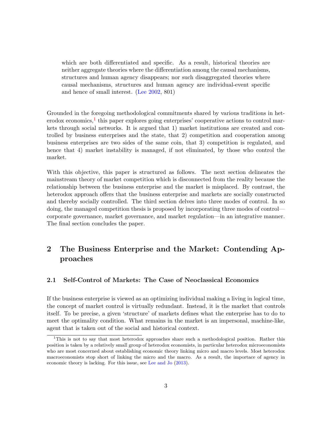which are both differentiated and specific. As a result, historical theories are neither aggregate theories where the differentiation among the causal mechanisms, structures and human agency disappears; nor such disaggregated theories where causal mechanisms, structures and human agency are individual-event specific and hence of small interest. (Lee 2002, 801)

Grounded in the foregoing methodological commitments shared by various traditions in heterodox economics,<sup>1</sup> this paper explores going enterprises' cooperative actions to control markets through social networks. It is argued that 1) market institutions are created and controlled by business enterprises and the state, that 2) competition and cooperation among business enterprises are two sides of the same coin, that 3) competition is regulated, and hence that 4) market instability is managed, if not eliminated, by those who control the market.

With this objective, this paper is structured as follows. The next section delineates the mainstream theory of market competition which is disconnected from the reality because the relationship between the business enterprise and the market is misplaced. By contrast, the heterodox approach offers that the business enterprise and markets are socially constructed and thereby socially controlled. The third section delves into three modes of control. In so doing, the managed competition thesis is proposed by incorporating three modes of control corporate governance, market governance, and market regulation—in an integrative manner. The final section concludes the paper.

# 2 The Business Enterprise and the Market: Contending Approaches

#### 2.1 Self-Control of Markets: The Case of Neoclassical Economics

If the business enterprise is viewed as an optimizing individual making a living in logical time, the concept of market control is virtually redundant. Instead, it is the market that controls itself. To be precise, a given 'structure' of markets defines what the enterprise has to do to meet the optimality condition. What remains in the market is an impersonal, machine-like, agent that is taken out of the social and historical context.

<sup>&</sup>lt;sup>1</sup>This is not to say that most heterodox approaches share such a methodological position. Rather this position is taken by a relatively small group of heterodox economists, in particular heterodox microeconomists who are most concerned about establishing economic theory linking micro and macro levels. Most heterodox macroeconomists stop short of linking the micro and the macro. As a result, the importace of agency in economic theory is lacking. For this issue, see Lee and Jo (2013).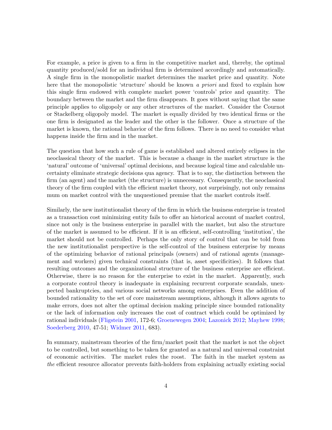For example, a price is given to a firm in the competitive market and, thereby, the optimal quantity produced/sold for an individual firm is determined accordingly and automatically. A single firm in the monopolistic market determines the market price and quantity. Note here that the monopolistic 'structure' should be known *a priori* and fixed to explain how this single firm endowed with complete market power 'controls' price and quantity. The boundary between the market and the firm disappears. It goes without saying that the same principle applies to oligopoly or any other structures of the market. Consider the Cournot or Stackelberg oligopoly model. The market is equally divided by two identical firms or the one firm is designated as the leader and the other is the follower. Once a structure of the market is known, the rational behavior of the firm follows. There is no need to consider what happens inside the firm and in the market.

The question that how such a rule of game is established and altered entirely eclipses in the neoclassical theory of the market. This is because a change in the market structure is the 'natural' outcome of 'universal' optimal decisions, and because logical time and calculable uncertainty eliminate strategic decisions qua agency. That is to say, the distinction between the firm (an agent) and the market (the structure) is unnecessary. Consequently, the neoclassical theory of the firm coupled with the efficient market theory, not surprisingly, not only remains mum on market control with the unquestioned premise that the market controls itself.

Similarly, the new institutionalist theory of the firm in which the business enterprise is treated as a transaction cost minimizing entity fails to offer an historical account of market control, since not only is the business enterprise in parallel with the market, but also the structure of the market is assumed to be efficient. If it is an efficient, self-controlling 'institution', the market should not be controlled. Perhaps the only story of control that can be told from the new institutionalist perspective is the self-control of the business enterprise by means of the optimizing behavior of rational principals (owners) and of rational agents (management and workers) given technical constraints (that is, asset specificities). It follows that resulting outcomes and the organizational structure of the business enterprise are efficient. Otherwise, there is no reason for the enterprise to exist in the market. Apparently, such a corporate control theory is inadequate in explaining recurrent corporate scandals, unexpected bankruptcies, and various social networks among enterprises. Even the addition of bounded rationality to the set of core mainstream assumptions, although it allows agents to make errors, does not alter the optimal decision making principle since bounded rationality or the lack of information only increases the cost of contract which could be optimized by rational individuals (Fligstein 2001, 172-6; Groenewegen 2004; Lazonick 2012; Mayhew 1998; Soederberg 2010, 47-51; Widmer 2011, 683).

In summary, mainstream theories of the firm/market posit that the market is not the object to be controlled, but something to be taken for granted as a natural and universal constraint of economic activities. The market rules the roost. The faith in the market system as *the* efficient resource allocator prevents faith-holders from explaining actually existing social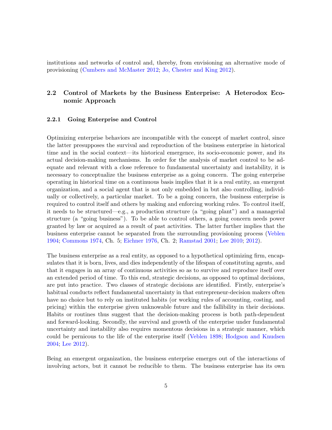institutions and networks of control and, thereby, from envisioning an alternative mode of provisioning (Cumbers and McMaster 2012; Jo, Chester and King 2012).

## 2.2 Control of Markets by the Business Enterprise: A Heterodox Economic Approach

#### 2.2.1 Going Enterprise and Control

Optimizing enterprise behaviors are incompatible with the concept of market control, since the latter presupposes the survival and reproduction of the business enterprise in historical time and in the social context—its historical emergence, its socio-economic power, and its actual decision-making mechanisms. In order for the analysis of market control to be adequate and relevant with a close reference to fundamental uncertainty and instability, it is necessary to conceptualize the business enterprise as a going concern. The going enterprise operating in historical time on a continuous basis implies that it is a real entity, an emergent organization, and a social agent that is not only embedded in but also controlling, individually or collectively, a particular market. To be a going concern, the business enterprise is required to control itself and others by making and enforcing working rules. To control itself, it needs to be structured—e.g., a production structure (a "going plant") and a managerial structure (a "going business"). To be able to control others, a going concern needs power granted by law or acquired as a result of past activities. The latter further implies that the business enterprise cannot be separated from the surrounding provisioning process (Veblen 1904; Commons 1974, Ch. 5; Eichner 1976, Ch. 2; Ramstad 2001; Lee 2010; 2012).

The business enterprise as a real entity, as opposed to a hypothetical optimizing firm, encapsulates that it is born, lives, and dies independently of the lifespan of constituting agents, and that it engages in an array of continuous activities so as to survive and reproduce itself over an extended period of time. To this end, strategic decisions, as opposed to optimal decisions, are put into practice. Two classes of strategic decisions are identified. Firstly, enterprise's habitual conducts reflect fundamental uncertainty in that entrepreneur-decision makers often have no choice but to rely on instituted habits (or working rules of accounting, costing, and pricing) within the enterprise given unknowable future and the fallibility in their decisions. Habits or routines thus suggest that the decision-making process is both path-dependent and forward-looking. Secondly, the survival and growth of the enterprise under fundamental uncertainty and instability also requires momentous decisions in a strategic manner, which could be pernicous to the life of the enterprise itself (Veblen 1898; Hodgson and Knudsen 2004; Lee 2012).

Being an emergent organization, the business enterprise emerges out of the interactions of involving actors, but it cannot be reducible to them. The business enterprise has its own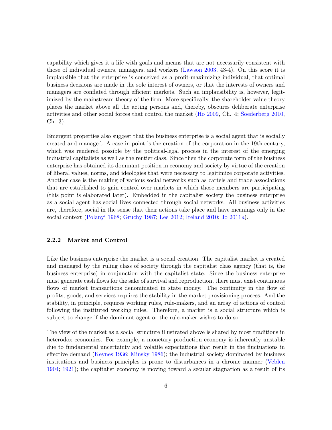capability which gives it a life with goals and means that are not necessarily consistent with those of individual owners, managers, and workers (Lawson 2003, 43-4). On this score it is implausible that the enterprise is conceived as a profit-maximizing individual, that optimal business decisions are made in the sole interest of owners, or that the interests of owners and managers are conflated through efficient markets. Such an implausibility is, however, legitimized by the mainstream theory of the firm. More specifically, the shareholder value theory places the market above all the acting persons and, thereby, obscures deliberate enterprise activities and other social forces that control the market (Ho 2009, Ch. 4; Soederberg 2010, Ch. 3).

Emergent properties also suggest that the business enterprise is a social agent that is socially created and managed. A case in point is the creation of the corporation in the 19th century, which was rendered possible by the political-legal process in the interest of the emerging industrial capitalists as well as the rentier class. Since then the corporate form of the business enterprise has obtained its dominant position in economy and society by virtue of the creation of liberal values, norms, and ideologies that were necessary to legitimize corporate activities. Another case is the making of various social networks such as cartels and trade associations that are established to gain control over markets in which those members are participating (this point is elaborated later). Embedded in the capitalist society the business enterprise as a social agent has social lives connected through social networks. All business activities are, therefore, social in the sense that their actions take place and have meanings only in the social context (Polanyi 1968; Gruchy 1987; Lee 2012; Ireland 2010; Jo 2011*a*).

#### 2.2.2 Market and Control

Like the business enterprise the market is a social creation. The capitalist market is created and managed by the ruling class of society through the capitalist class agency (that is, the business enterprise) in conjunction with the capitalist state. Since the business enterprise must generate cash flows for the sake of survival and reproduction, there must exist continuous flows of market transactions denominated in state money. The continuity in the flow of profits, goods, and services requires the stability in the market provisioning process. And the stability, in principle, requires working rules, rule-makers, and an array of actions of control following the instituted working rules. Therefore, a market is a social structure which is subject to change if the dominant agent or the rule-maker wishes to do so.

The view of the market as a social structure illustrated above is shared by most traditions in heterodox economics. For example, a monetary production economy is inherently unstable due to fundamental uncertainty and volatile expectations that result in the fluctuations in effective demand (Keynes 1936; Minsky 1986); the industrial society dominated by business institutions and business principles is prone to disturbances in a chronic manner (Veblen 1904; 1921); the capitalist economy is moving toward a secular stagnation as a result of its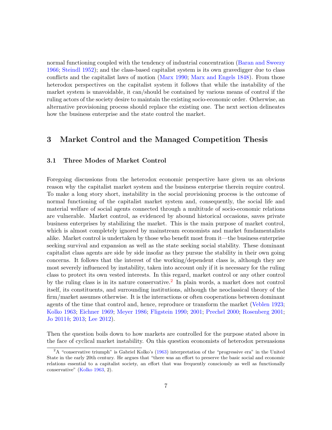normal functioning coupled with the tendency of industrial concentration (Baran and Sweezy 1966; Steindl 1952); and the class-based capitalist system is its own gravedigger due to class conflicts and the capitalist laws of motion (Marx 1990; Marx and Engels 1848). From those heterodox perspectives on the capitalist system it follows that while the instability of the market system is unavoidable, it can/should be contained by various means of control if the ruling actors of the society desire to maintain the existing socio-economic order. Otherwise, an alternative provisioning process should replace the existing one. The next section delineates how the business enterprise and the state control the market.

# 3 Market Control and the Managed Competition Thesis

### 3.1 Three Modes of Market Control

Foregoing discussions from the heterodox economic perspective have given us an obvious reason why the capitalist market system and the business enterprise therein require control. To make a long story short, instability in the social provisioning process is the outcome of normal functioning of the capitalist market system and, consequently, the social life and material welfare of social agents connected through a multitude of socio-economic relations are vulnerable. Market control, as evidenced by abound historical occasions, saves private business enterprises by stabilizing the market. This is the main purpose of market control, which is almost completely ignored by mainstream economists and market fundamentalists alike. Market control is undertaken by those who benefit most from it—the business enterprise seeking survival and expansion as well as the state seeking social stability. These dominant capitalist class agents are side by side insofar as they pursue the stability in their own going concerns. It follows that the interest of the working/dependent class is, although they are most severely influenced by instability, taken into account only if it is necessary for the ruling class to protect its own vested interests. In this regard, market control or any other control by the ruling class is in its nature conservative.<sup>2</sup> In plain words, a market does not control itself, its constituents, and surrounding institutions, although the neoclassical theory of the firm/market assumes otherwise. It is the interactions or often cooperations between dominant agents of the time that control and, hence, reproduce or transform the market (Veblen 1923; Kolko 1963; Eichner 1969; Meyer 1986; Fligstein 1990; 2001; Prechel 2000; Rosenberg 2001; Jo 2011*b*; 2013; Lee 2012).

Then the question boils down to how markets are controlled for the purpose stated above in the face of cyclical market instability. On this question economists of heterodox persuasions

<sup>2</sup>A "conservative triumph" is Gabriel Kolko's (1963) interpretation of the "progressive era" in the United State in the early 20th century. He argues that "there was an effort to preserve the basic social and economic relations essential to a capitalist society, an effort that was frequently consciously as well as functionally conservative" (Kolko 1963, 2).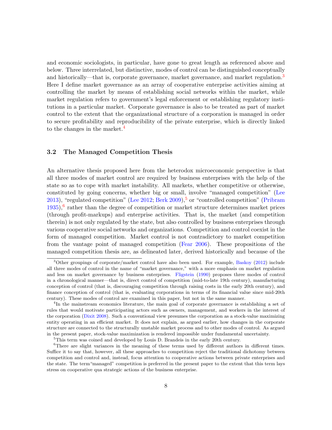and economic sociologists, in particular, have gone to great length as referenced above and below. Three interrelated, but distinctive, modes of control can be distinguished conceptually and historically—that is, corporate governance, market governance, and market regulation.<sup>3</sup> Here I define market governance as an array of cooperative enterprise activities aiming at controlling the market by means of establishing social networks within the market, while market regulation refers to government's legal enforcement or establishing regulatory institutions in a particular market. Corporate governance is also to be treated as part of market control to the extent that the organizational structure of a corporation is managed in order to secure profitability and reproducibility of the private enterprise, which is directly linked to the changes in the market.<sup>4</sup>

#### 3.2 The Managed Competition Thesis

An alternative thesis proposed here from the heterodox microeconomic perspective is that all three modes of market control are required by business enterprises with the help of the state so as to cope with market instability. All markets, whether competitive or otherwise, constituted by going concerns, whether big or small, involve "managed competition" (Lee 2013), "regulated competition" (Lee 2012; Berk 2009), $5$  or "controlled competition" (Pribram 1935),<sup>6</sup> rather than the degree of competition or market structure determines market prices (through profit-markups) and enterprise activities. That is, the market (and competition therein) is not only regulated by the state, but also controlled by business enterprises through various cooperative social networks and organizations. Competition and control coexist in the form of managed competition. Market control is not contradictory to market competition from the vantage point of managed competition (Fear 2006). These propositions of the managed competition thesis are, as delineated later, derived historically and because of the

<sup>&</sup>lt;sup>3</sup>Other groupings of corporate/market control have also been used. For example, Baskoy (2012) include all three modes of control in the name of "market governance," with a more emphasis on market regulation and less on market governance by business enterprises. Fligstein (1990) proposes three modes of control in a chronological manner—that is, direct control of competition (mid-to-late 19th century), manufacturing conception of control (that is, discouraging competition through raising costs in the early 20th century), and finance conception of control (that is, evaluating corporations in terms of its financial value since mid-20th century). These modes of control are examined in this paper, but not in the same manner.

<sup>&</sup>lt;sup>4</sup>In the mainstream economics literature, the main goal of corporate governance is establishing a set of rules that would motivate participating actors such as owners, management, and workers in the interest of the corporation (Dixit 2008). Such a conventional view presumes the corporation as a stock-value maximizing entity operating in an efficient market. It does not explain, as argued earlier, how changes in the corporate structure are connected to the structurally unstable market process and to other modes of control. As argued in the present paper, stock-value maximization is rendered impossible under fundamental uncertainty.

<sup>&</sup>lt;sup>5</sup>This term was coined and developed by Louis D. Brandeis in the early 20th century.

<sup>6</sup>There are slight variances in the meaning of these terms used by different authors in different times. Suffice it to say that, however, all these approaches to competition reject the traditional dichotomy between competition and control and, instead, focus attention to cooperative actions between private enterprises and the state. The term"managed" competition is preferred in the present paper to the extent that this term lays stress on cooperative qua strategic actions of the business enterprise.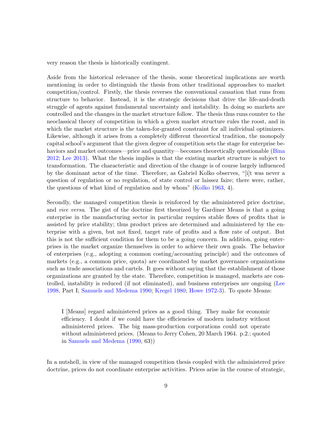very reason the thesis is historically contingent.

Aside from the historical relevance of the thesis, some theoretical implications are worth mentioning in order to distinguish the thesis from other traditional approaches to market competition/control. Firstly, the thesis reverses the conventional causation that runs from structure to behavior. Instead, it is the strategic decisions that drive the life-and-death struggle of agents against fundamental uncertainty and instability. In doing so markets are controlled and the changes in the market structure follow. The thesis thus runs counter to the neoclassical theory of competition in which a given market structure rules the roost, and in which the market structure is the taken-for-granted constraint for all individual optimizers. Likewise, although it arises from a completely different theoretical tradition, the monopoly capital school's argument that the given degree of competition sets the stage for enterprise behaviors and market outcomes—price and quantity—becomes theoretically questionable (Bina 2012; Lee 2013). What the thesis implies is that the existing market structure is subject to transformation. The characteristic and direction of the change is of course largely influenced by the dominant actor of the time. Therefore, as Gabriel Kolko observes, "[i]t was never a question of regulation or no regulation, of state control or laissez faire; there were, rather, the questions of what kind of regulation and by whom" (Kolko 1963, 4).

Secondly, the managed competition thesis is reinforced by the administered price doctrine, and *vice versa*. The gist of the doctrine first theorized by Gardiner Means is that a going enterprise in the manufacturing sector in particular requires stable flows of profits that is assisted by price stability; thus product prices are determined and administered by the enterprise with a given, but not fixed, target rate of profits and a flow rate of output. But this is not the sufficient condition for them to be a going concern. In addition, going enterprises in the market organize themselves in order to achieve their own goals. The behavior of enterprises (e.g., adopting a common costing/accounting principle) and the outcomes of markets (e.g., a common price, quota) are coordinated by market governance organizations such as trade associations and cartels. It goes without saying that the establishment of those organizations are granted by the state. Therefore, competition is managed, markets are controlled, instability is reduced (if not eliminated), and business enterprises are ongoing (Lee 1998, Part I; Samuels and Medema 1990; Kregel 1980; Howe 1972-3). To quote Means:

I [Means] regard administered prices as a good thing. They make for economic efficiency. I doubt if we could have the efficiencies of modern industry without administered prices. The big mass-production corporations could not operate without administered prices. (Means to Jerry Cohen, 20 March 1964. p.2.; quoted in Samuels and Medema (1990, 63))

In a nutshell, in view of the managed competition thesis coupled with the administered price doctrine, prices do not coordinate enterprise activities. Prices arise in the course of strategic,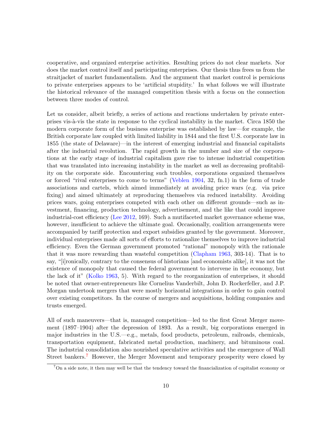cooperative, and organized enterprise activities. Resulting prices do not clear markets. Nor does the market control itself and participating enterprises. Our thesis thus frees us from the straitjacket of market fundamentalism. And the argument that market control is pernicious to private enterprises appears to be 'artificial stupidity.' In what follows we will illustrate the historical relevance of the managed competition thesis with a focus on the connection between three modes of control.

Let us consider, albeit briefly, a series of actions and reactions undertaken by private enterprises vis-`a-vis the state in response to the cyclical instability in the market. Circa 1850 the modern corporate form of the business enterprise was established by law—for example, the British corporate law coupled with limited liability in 1844 and the first U.S. corporate law in 1855 (the state of Delaware)—in the interest of emerging industrial and financial capitalists after the industrial revolution. The rapid growth in the number and size of the corporations at the early stage of industrial capitalism gave rise to intense industrial competition that was translated into increasing instability in the market as well as decreasing profitability on the corporate side. Encountering such troubles, corporations organized themselves or forced "rival enterprises to come to terms" (Veblen 1904, 32, fn.1) in the form of trade associations and cartels, which aimed immediately at avoiding price wars (e.g. via price fixing) and aimed ultimately at reproducing themselves via reduced instability. Avoiding prices wars, going enterprises competed with each other on different grounds—such as investment, financing, production technology, advertisement, and the like that could improve industrial-cost efficiency (Lee 2012, 169). Such a mutifaceted market governance scheme was, however, insufficient to achieve the ultimate goal. Occasionally, coalition arrangements were accompanied by tariff protection and export subsidies granted by the government. Moreover, individual enterprises made all sorts of efforts to rationalize themselves to improve industrial efficiency. Even the German government promoted "rational" monopoly with the rationale that it was more rewarding than wasteful competition (Clapham 1963, 303-14). That is to say, "[i]ronically, contrary to the consensus of historians [and economists alike], it was not the existence of monopoly that caused the federal government to intervene in the economy, but the lack of it" (Kolko 1963, 5). With regard to the reorganization of enterprises, it should be noted that owner-entrepreneurs like Cornelius Vanderbilt, John D. Rockerfeller, and J.P. Morgan undertook mergers that were mostly horizontal integrations in order to gain control over existing competitors. In the course of mergers and acquisitions, holding companies and trusts emerged.

All of such maneuvers—that is, managed competition—led to the first Great Merger movement (1897–1904) after the depression of 1893. As a result, big corporations emerged in major industries in the U.S.—e.g., metals, food products, petroleum, railroads, chemicals, transportation equipment, fabricated metal production, machinery, and bituminous coal. The industrial consolidation also nourished speculative activities and the emergence of Wall Street bankers.<sup>7</sup> However, the Merger Movement and temporary prosperity were closed by

<sup>7</sup>On a side note, it then may well be that the tendency toward the financialization of capitalist economy or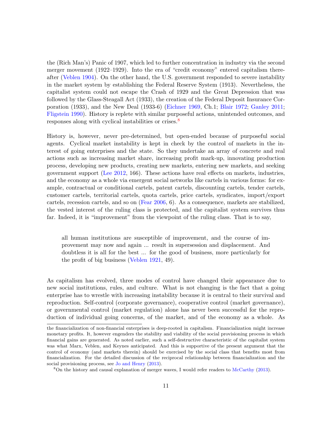the (Rich Man's) Panic of 1907, which led to further concentration in industry via the second merger movement (1922–1929). Into the era of "credit economy" entered capitalism thereafter (Veblen 1904). On the other hand, the U.S. government responded to severe instability in the market system by establishing the Federal Reserve System (1913). Nevertheless, the capitalist system could not escape the Crash of 1929 and the Great Depression that was followed by the Glass-Steagall Act (1933), the creation of the Federal Deposit Insurance Corporation (1933), and the New Deal (1933-6) (Eichner 1969, Ch.1; Blair 1972; Ganley 2011; Fligstein 1990). History is replete with similar purposeful actions, unintended outcomes, and responses along with cyclical instabilities or crises.<sup>8</sup>

History is, however, never pre-determined, but open-ended because of purposeful social agents. Cyclical market instability is kept in check by the control of markets in the interest of going enterprises and the state. So they undertake an array of concrete and real actions such as increasing market share, increasing profit mark-up, innovating production process, developing new products, creating new markets, entering new markets, and seeking government support (Lee 2012, 166). These actions have real effects on markets, industries, and the economy as a whole via emergent social networks like cartels in various forms: for example, contractual or conditional cartels, patent cartels, discounting cartels, tender cartels, customer cartels, territorial cartels, quota cartels, price cartels, syndicates, import/export cartels, recession cartels, and so on (Fear 2006, 6). As a consequence, markets are stabilized, the vested interest of the ruling class is protected, and the capitalist system survives thus far. Indeed, it is "improvement" from the viewpoint of the ruling class. That is to say,

all human institutions are susceptible of improvement, and the course of improvement may now and again ... result in supersession and displacement. And doubtless it is all for the best ... for the good of business, more particularly for the profit of big business (Veblen 1921, 49).

As capitalism has evolved, three modes of control have changed their appearance due to new social institutions, rules, and culture. What is not changing is the fact that a going enterprise has to wrestle with increasing instability because it is central to their survival and reproduction. Self-control (corporate governance), cooperative control (market governance), or governmental control (market regulation) alone has never been successful for the reproduction of individual going concerns, of the market, and of the economy as a whole. As

the financialization of non-financial enterprises is deep-rooted in capitalism. Financialization might increase monetary profits. It, however engenders the stability and viability of the social provisioning process in which financial gains are generated. As noted earlier, such a self-destructive characteristic of the capitalist system was what Marx, Veblen, and Keynes anticipated. And this is supportive of the present argument that the control of economy (and markets therein) should be exercised by the social class that benefits most from financialization. For the detailed discussion of the reciprocal relationship between financialization and the social provisioning process, see Jo and Henry  $(2013)$ .

<sup>8</sup>On the history and causal explanation of merger waves, I would refer readers to McCarthy (2013).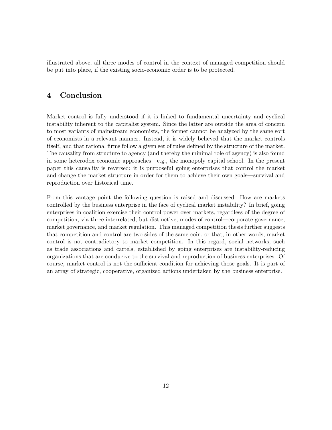illustrated above, all three modes of control in the context of managed competition should be put into place, if the existing socio-economic order is to be protected.

# 4 Conclusion

Market control is fully understood if it is linked to fundamental uncertainty and cyclical instability inherent to the capitalist system. Since the latter are outside the area of concern to most variants of mainstream economists, the former cannot be analyzed by the same sort of economists in a relevant manner. Instead, it is widely believed that the market controls itself, and that rational firms follow a given set of rules defined by the structure of the market. The causality from structure to agency (and thereby the minimal role of agency) is also found in some heterodox economic approaches—e.g., the monopoly capital school. In the present paper this causality is reversed; it is purposeful going enterprises that control the market and change the market structure in order for them to achieve their own goals—survival and reproduction over historical time.

From this vantage point the following question is raised and discussed: How are markets controlled by the business enterprise in the face of cyclical market instability? In brief, going enterprises in coalition exercise their control power over markets, regardless of the degree of competition, via three interrelated, but distinctive, modes of control—corporate governance, market governance, and market regulation. This managed competition thesis further suggests that competition and control are two sides of the same coin, or that, in other words, market control is not contradictory to market competition. In this regard, social networks, such as trade associations and cartels, established by going enterprises are instability-reducing organizations that are conducive to the survival and reproduction of business enterprises. Of course, market control is not the sufficient condition for achieving those goals. It is part of an array of strategic, cooperative, organized actions undertaken by the business enterprise.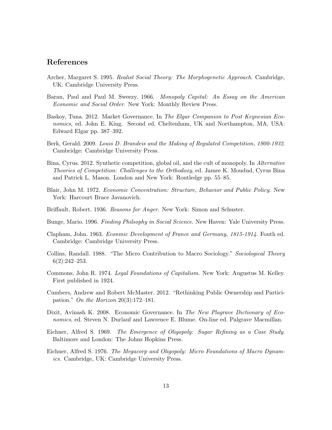# References

- Archer, Margaret S. 1995. *Realist Social Theory: The Morphogenetic Approach*. Cambridge, UK: Cambridge University Press.
- Baran, Paul and Paul M. Sweezy. 1966. *Monopoly Capital: An Essay on the American Economic and Social Order*. New York: Monthly Review Press.
- Baskoy, Tuna. 2012. Market Governance. In *The Elgar Companion to Post Keynesian Economics*, ed. John E. King. Second ed. Cheltenham, UK and Northampton, MA, USA: Edward Elgar pp. 387–392.
- Berk, Gerald. 2009. *Louis D. Brandeis and the Making of Regulated Competition, 1900-1932*. Cambridge: Cambridge University Press.
- Bina, Cyrus. 2012. Synthetic competition, global oil, and the cult of monopoly. In *Alternative Theories of Competition: Challenges to the Orthodoxy*, ed. Jamee K. Moudud, Cyrus Bina and Patrick L. Mason. London and New York: Routledge pp. 55–85.
- Blair, John M. 1972. *Economic Concentration: Structure, Behavior and Public Policy*. New York: Harcourt Brace Javanovich.
- Briffault, Robert. 1936. *Reasons for Anger*. New York: Simon and Schuster.
- Bunge, Mario. 1996. *Finding Philsophy in Social Science*. New Haven: Yale University Press.
- Clapham, John. 1963. *Econmic Development of France and Germany, 1815-1914*. Fouth ed. Cambridge: Cambridge University Press.
- Collins, Randall. 1988. "The Micro Contribution to Macro Sociology." *Sociological Theory*  $6(2):242-253.$
- Commons, John R. 1974. *Legal Foundations of Capitalism*. New York: Augustus M. Kelley. First published in 1924.
- Cumbers, Andrew and Robert McMaster. 2012. "Rethinking Public Ownership and Participation." *On the Horizon* 20(3):172–181.
- Dixit, Avinash K. 2008. Economic Governance. In *The New Plagrave Dictionary of Economics*, ed. Steven N. Durlauf and Lawrence E. Blume. On-line ed. Palgrave Macmillan.
- Eichner, Alfred S. 1969. *The Emergence of Oligopoly: Sugar Refining as a Case Study*. Baltimore and London: The Johns Hopkins Press.
- Eichner, Alfred S. 1976. *The Megacorp and Oligopoly: Micro Foundations of Macro Dynamics*. Cambridge, UK: Cambridge University Press.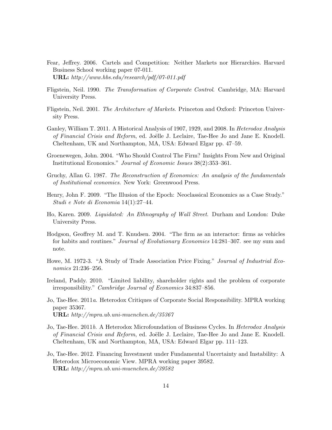- Fear, Jeffrey. 2006. Cartels and Competition: Neither Markets nor Hierarchies. Harvard Business School working paper 07-011. URL: *http://www.hbs.edu/research/pdf/07-011.pdf*
- Fligstein, Neil. 1990. *The Transformation of Corporate Control*. Cambridge, MA: Harvard University Press.
- Fligstein, Neil. 2001. *The Architecture of Markets*. Princeton and Oxford: Princeton University Press.
- Ganley, William T. 2011. A Historical Analysis of 1907, 1929, and 2008. In *Heterodox Analysis of Financial Crisis and Reform*, ed. Joëlle J. Leclaire, Tae-Hee Jo and Jane E. Knodell. Cheltenham, UK and Northampton, MA, USA: Edward Elgar pp. 47–59.
- Groenewegen, John. 2004. "Who Should Control The Firm? Insights From New and Original Institutional Economics." *Journal of Economic Issues* 38(2):353–361.
- Gruchy, Allan G. 1987. *The Reconstruction of Economics: An analysis of the fundamentals of Institutional economics*. New York: Greenwood Press.
- Henry, John F. 2009. "The Illusion of the Epoch: Neoclassical Economics as a Case Study." *Studi e Note di Economia* 14(1):27–44.
- Ho, Karen. 2009. *Liquidated: An Ethnography of Wall Street*. Durham and London: Duke University Press.
- Hodgson, Geoffrey M. and T. Knudsen. 2004. "The firm as an interactor: firms as vehicles for habits and routines." *Journal of Evolutionary Economics* 14:281–307. see my sum and note.
- Howe, M. 1972-3. "A Study of Trade Association Price Fixing." *Journal of Industrial Economics* 21:236–256.
- Ireland, Paddy. 2010. "Limited liability, shareholder rights and the problem of corporate irresponsibility." *Cambridge Journal of Economics* 34:837–856.
- Jo, Tae-Hee. 2011*a*. Heterodox Critiques of Corporate Social Responsibility. MPRA working paper 35367. URL: *http://mpra.ub.uni-muenchen.de/35367*
- Jo, Tae-Hee. 2011*b*. A Heterodox Microfoundation of Business Cycles. In *Heterodox Analysis of Financial Crisis and Reform*, ed. Joëlle J. Leclaire, Tae-Hee Jo and Jane E. Knodell. Cheltenham, UK and Northampton, MA, USA: Edward Elgar pp. 111–123.
- Jo, Tae-Hee. 2012. Financing Investment under Fundamental Uncertainty and Instability: A Heterodox Microeconomic View. MPRA working paper 39582. URL: *http://mpra.ub.uni-muenchen.de/39582*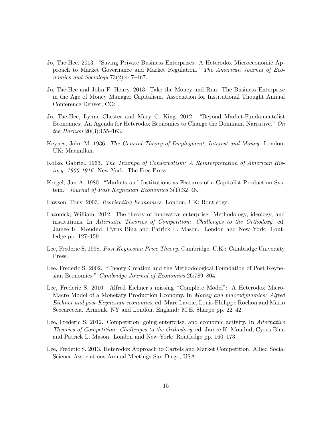- Jo, Tae-Hee. 2013. "Saving Private Business Enterprises: A Heterodox Microeconomic Approach to Market Governance and Market Regulation." *The American Journal of Economics and Sociology* 73(2):447–467.
- Jo, Tae-Hee and John F. Henry. 2013. Take the Money and Run: The Business Enterprise in the Age of Money Manager Capitalism. Association for Institutional Thought Annual Conference Denver, CO: .
- Jo, Tae-Hee, Lynne Chester and Mary C. King. 2012. "Beyond Market-Fundamentalist Economics: An Agenda for Heterodox Economics to Change the Dominant Narrative." *On the Horizon* 20(3):155–163.
- Keynes, John M. 1936. *The General Theory of Employment, Interest and Money*. London, UK: Macmillan.
- Kolko, Gabriel. 1963. *The Triumph of Conservatism: A Reinterpretation of American History, 1900-1916*. New York: The Free Press.
- Kregel, Jan A. 1980. "Markets and Institutions as Features of a Capitalist Production System." *Journal of Post Keynesian Economics* 3(1):32–48.
- Lawson, Tony. 2003. *Reorienting Economics*. London, UK: Routledge.
- Lazonick, William. 2012. The theory of innovative enterprise: Methodology, ideology, and institutions. In *Alternatie Theories of Competition: Challenges to the Orthodoxy*, ed. Jamee K. Moudud, Cyrus Bina and Patrick L. Mason. London and New York: Loutledge pp. 127–159.
- Lee, Frederic S. 1998. *Post Keynesian Price Theory*. Cambridge, U.K.: Cambridge University Press.
- Lee, Frederic S. 2002. "Theory Creation and the Methodological Foundation of Post Keynesian Economics." *Cambridge Journal of Economics* 26:789–804.
- Lee, Frederic S. 2010. Alfred Eichner's missing "Complete Model": A Heterodox Micro-Macro Model of a Monetary Production Economy. In *Money and macrodynamics: Alfred Eichner and post-Keynesian economics*, ed. Marc Lavoie, Louis-Philippe Rochon and Mario Seccareccia. Armonk, NY and London, England: M.E. Sharpe pp. 22–42.
- Lee, Frederic S. 2012. Competition, going enterprise, and economic activity. In *Alternative Theories of Competition: Challenges to the Orthodoxy*, ed. Jamee K. Moudud, Cyrus Bina and Patrick L. Mason. London and New York: Routledge pp. 160–173.
- Lee, Frederic S. 2013. Heterodox Approach to Cartels and Market Competition. Allied Social Science Associations Annual Meetings San Diego, USA: .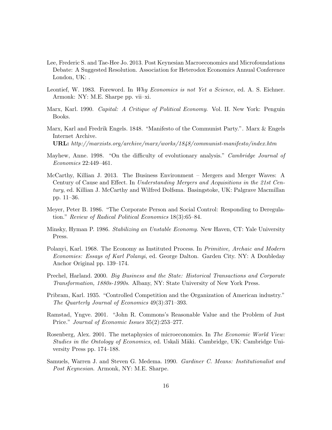- Lee, Frederic S. and Tae-Hee Jo. 2013. Post Keynesian Macroeconomics and Microfoundations Debate: A Suggested Resolution. Association for Heterodox Economics Annual Conference London, UK: .
- Leontief, W. 1983. Foreword. In *Why Economics is not Yet a Science*, ed. A. S. Eichner. Armonk: NY: M.E. Sharpe pp. vii–xi.
- Marx, Karl. 1990. *Capital: A Critique of Political Economy*. Vol. II. New York: Penguin Books.
- Marx, Karl and Fredrik Engels. 1848. "Manifesto of the Communist Party.". Marx & Engels Internet Archive.

URL: *http://marxists.org/archive/marx/works/1848/communist-manifesto/index.htm*

- Mayhew, Anne. 1998. "On the difficulty of evolutionary analysis." *Cambridge Journal of Economics* 22:449–461.
- McCarthy, Killian J. 2013. The Business Environment Mergers and Merger Waves: A Century of Cause and Effect. In *Understanding Mergers and Acquisitions in the 21st Century*, ed. Killian J. McCarthy and Wilfred Dolfsma. Basingstoke, UK: Palgrave Macmillan pp. 11–36.
- Meyer, Peter B. 1986. "The Corporate Person and Social Control: Responding to Deregulation." *Review of Radical Political Economics* 18(3):65–84.
- Minsky, Hyman P. 1986. *Stabilizing an Unstable Economy*. New Haven, CT: Yale University Press.
- Polanyi, Karl. 1968. The Economy as Instituted Process. In *Primitive, Archaic and Modern Economies: Essays of Karl Polanyi*, ed. George Dalton. Garden City. NY: A Doubleday Anchor Original pp. 139–174.
- Prechel, Harland. 2000. *Big Business and the State: Historical Transactions and Corporate Transformation, 1880s-1990s*. Albany, NY: State University of New York Press.
- Pribram, Karl. 1935. "Controlled Competition and the Organization of American industry." *The Quarterly Journal of Economics* 49(3):371–393.
- Ramstad, Yngve. 2001. "John R. Commons's Reasonable Value and the Problem of Just Price." *Journal of Economic Issues* 35(2):253–277.
- Rosenberg, Alex. 2001. The metaphysics of microeconomics. In *The Economic World View: Studies in the Ontology of Economics*, ed. Uskali M¨aki. Cambridge, UK: Cambridge University Press pp. 174–188.
- Samuels, Warren J. and Steven G. Medema. 1990. *Gardiner C. Means: Institutionalist and Post Keynesian*. Armonk, NY: M.E. Sharpe.